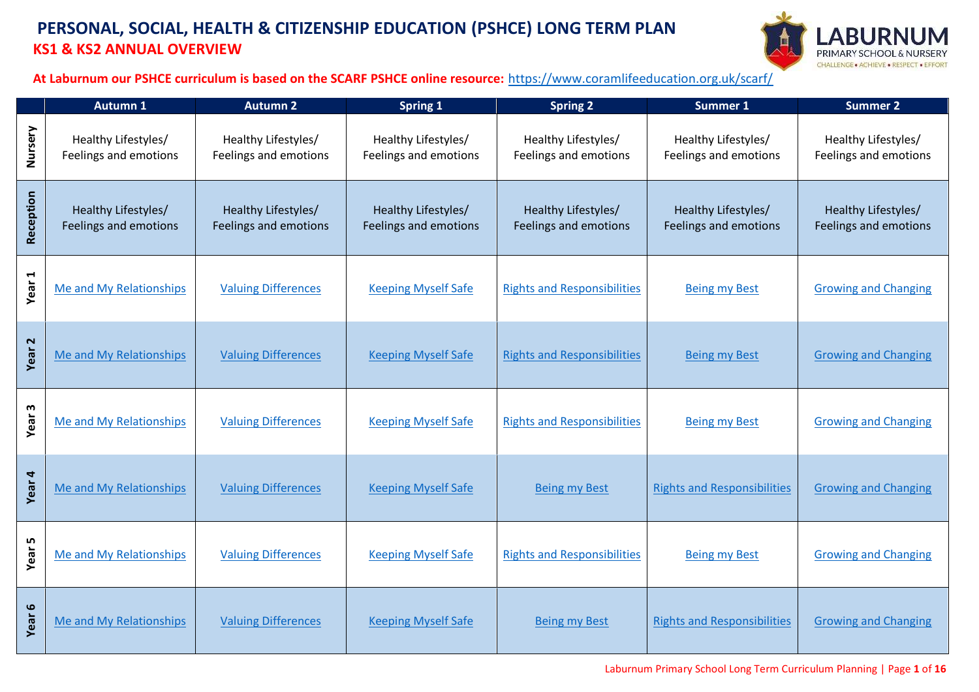#### **PERSONAL, SOCIAL, HEALTH & CITIZENSHIP EDUCATION (PSHCE) LONG TERM PLAN KS1 & KS2 ANNUAL OVERVIEW**



**At Laburnum our PSHCE curriculum is based on the SCARF PSHCE online resource:** <https://www.coramlifeeducation.org.uk/scarf/>

|                   | <b>Autumn 1</b>                              | <b>Autumn 2</b>                                     | <b>Spring 1</b>                                     | <b>Spring 2</b>                              | <b>Summer 1</b>                                     | <b>Summer 2</b>                                     |
|-------------------|----------------------------------------------|-----------------------------------------------------|-----------------------------------------------------|----------------------------------------------|-----------------------------------------------------|-----------------------------------------------------|
| Nursery           | Healthy Lifestyles/<br>Feelings and emotions | Healthy Lifestyles/<br>Feelings and emotions        | Healthy Lifestyles/<br>Feelings and emotions        | Healthy Lifestyles/<br>Feelings and emotions | Healthy Lifestyles/<br>Feelings and emotions        | Healthy Lifestyles/<br>Feelings and emotions        |
| Reception         | Healthy Lifestyles/<br>Feelings and emotions | Healthy Lifestyles/<br><b>Feelings and emotions</b> | Healthy Lifestyles/<br><b>Feelings and emotions</b> | Healthy Lifestyles/<br>Feelings and emotions | Healthy Lifestyles/<br><b>Feelings and emotions</b> | Healthy Lifestyles/<br><b>Feelings and emotions</b> |
| Year <sub>1</sub> | Me and My Relationships                      | <b>Valuing Differences</b>                          | <b>Keeping Myself Safe</b>                          | <b>Rights and Responsibilities</b>           | <b>Being my Best</b>                                | <b>Growing and Changing</b>                         |
| Year <sub>2</sub> | Me and My Relationships                      | <b>Valuing Differences</b>                          | <b>Keeping Myself Safe</b>                          | <b>Rights and Responsibilities</b>           | <b>Being my Best</b>                                | <b>Growing and Changing</b>                         |
| Year <sub>3</sub> | Me and My Relationships                      | <b>Valuing Differences</b>                          | <b>Keeping Myself Safe</b>                          | <b>Rights and Responsibilities</b>           | <b>Being my Best</b>                                | <b>Growing and Changing</b>                         |
| Year 4            | Me and My Relationships                      | <b>Valuing Differences</b>                          | <b>Keeping Myself Safe</b>                          | <b>Being my Best</b>                         | <b>Rights and Responsibilities</b>                  | <b>Growing and Changing</b>                         |
| Year 5            | Me and My Relationships                      | <b>Valuing Differences</b>                          | <b>Keeping Myself Safe</b>                          | <b>Rights and Responsibilities</b>           | <b>Being my Best</b>                                | <b>Growing and Changing</b>                         |
| Year 6            | Me and My Relationships                      | <b>Valuing Differences</b>                          | <b>Keeping Myself Safe</b>                          | <b>Being my Best</b>                         | <b>Rights and Responsibilities</b>                  | <b>Growing and Changing</b>                         |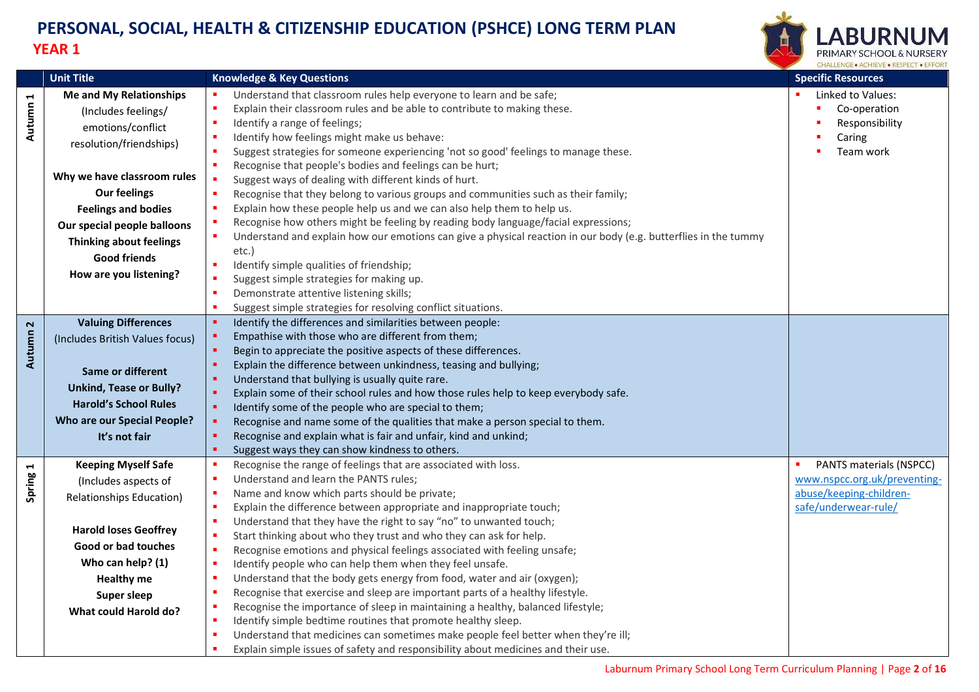

<span id="page-1-2"></span><span id="page-1-1"></span><span id="page-1-0"></span>

|                          | <b>Unit Title</b>                                                                                                                                                                                                                                                                                           | <b>Knowledge &amp; Key Questions</b>                                                                                                                                                                                                                                                                                                                                                                                                                                                                                                                                                                                                                                                                                                                                                                                                                                                                                                                                                                                                       | <b>Specific Resources</b>                                                                                  |
|--------------------------|-------------------------------------------------------------------------------------------------------------------------------------------------------------------------------------------------------------------------------------------------------------------------------------------------------------|--------------------------------------------------------------------------------------------------------------------------------------------------------------------------------------------------------------------------------------------------------------------------------------------------------------------------------------------------------------------------------------------------------------------------------------------------------------------------------------------------------------------------------------------------------------------------------------------------------------------------------------------------------------------------------------------------------------------------------------------------------------------------------------------------------------------------------------------------------------------------------------------------------------------------------------------------------------------------------------------------------------------------------------------|------------------------------------------------------------------------------------------------------------|
| $\blacksquare$<br>Autumn | <b>Me and My Relationships</b><br>(Includes feelings/<br>emotions/conflict<br>resolution/friendships)<br>Why we have classroom rules<br><b>Our feelings</b><br><b>Feelings and bodies</b><br>Our special people balloons<br><b>Thinking about feelings</b><br><b>Good friends</b><br>How are you listening? | Understand that classroom rules help everyone to learn and be safe;<br>Explain their classroom rules and be able to contribute to making these.<br>Identify a range of feelings;<br>Identify how feelings might make us behave:<br>Suggest strategies for someone experiencing 'not so good' feelings to manage these.<br>Recognise that people's bodies and feelings can be hurt;<br>Suggest ways of dealing with different kinds of hurt.<br>×<br>Recognise that they belong to various groups and communities such as their family;<br>Explain how these people help us and we can also help them to help us.<br>Recognise how others might be feeling by reading body language/facial expressions;<br>Understand and explain how our emotions can give a physical reaction in our body (e.g. butterflies in the tummy<br>etc.)<br>Identify simple qualities of friendship;<br>л<br>Suggest simple strategies for making up.<br>Demonstrate attentive listening skills;<br>Suggest simple strategies for resolving conflict situations. | Linked to Values:<br>Co-operation<br>Responsibility<br>Caring<br>Team work                                 |
| $\sim$<br>Autumn         | <b>Valuing Differences</b><br>(Includes British Values focus)<br>Same or different<br><b>Unkind, Tease or Bully?</b><br><b>Harold's School Rules</b><br><b>Who are our Special People?</b><br>It's not fair                                                                                                 | Identify the differences and similarities between people:<br>Empathise with those who are different from them;<br>Begin to appreciate the positive aspects of these differences.<br>Explain the difference between unkindness, teasing and bullying;<br>Understand that bullying is usually quite rare.<br>Explain some of their school rules and how those rules help to keep everybody safe.<br>Identify some of the people who are special to them;<br>Recognise and name some of the qualities that make a person special to them.<br>Recognise and explain what is fair and unfair, kind and unkind;<br>Suggest ways they can show kindness to others.                                                                                                                                                                                                                                                                                                                                                                                |                                                                                                            |
| Spring 1                 | <b>Keeping Myself Safe</b><br>(Includes aspects of<br><b>Relationships Education)</b><br><b>Harold loses Geoffrey</b><br>Good or bad touches<br>Who can help? (1)<br><b>Healthy me</b><br><b>Super sleep</b><br>What could Harold do?                                                                       | Recognise the range of feelings that are associated with loss.<br>Understand and learn the PANTS rules;<br>Name and know which parts should be private;<br>Explain the difference between appropriate and inappropriate touch;<br>٠<br>Understand that they have the right to say "no" to unwanted touch;<br>Start thinking about who they trust and who they can ask for help.<br>л<br>Recognise emotions and physical feelings associated with feeling unsafe;<br>л<br>٠<br>Identify people who can help them when they feel unsafe.<br>Understand that the body gets energy from food, water and air (oxygen);<br>Recognise that exercise and sleep are important parts of a healthy lifestyle.<br>Recognise the importance of sleep in maintaining a healthy, balanced lifestyle;<br>Identify simple bedtime routines that promote healthy sleep.<br>Understand that medicines can sometimes make people feel better when they're ill;<br>Explain simple issues of safety and responsibility about medicines and their use.            | PANTS materials (NSPCC)<br>www.nspcc.org.uk/preventing-<br>abuse/keeping-children-<br>safe/underwear-rule/ |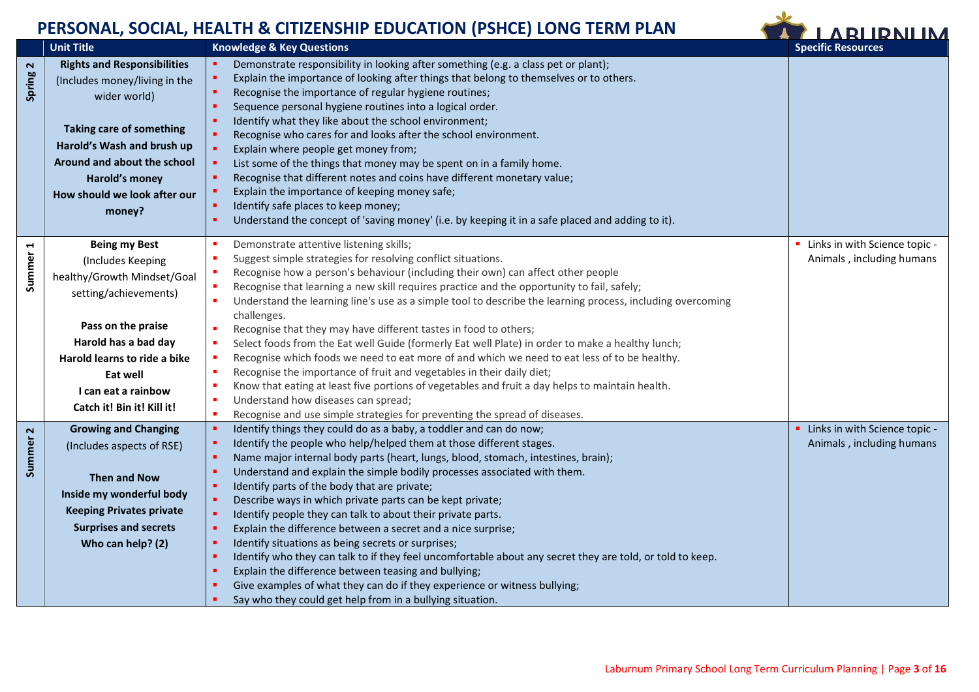

<span id="page-2-2"></span><span id="page-2-1"></span><span id="page-2-0"></span>

|                     | <b>Unit Title</b>                  | <b>Knowledge &amp; Key Questions</b>                                                                                                                                                                                                                                                                        | <b>Specific Resources</b>       |
|---------------------|------------------------------------|-------------------------------------------------------------------------------------------------------------------------------------------------------------------------------------------------------------------------------------------------------------------------------------------------------------|---------------------------------|
|                     | <b>Rights and Responsibilities</b> | Demonstrate responsibility in looking after something (e.g. a class pet or plant);                                                                                                                                                                                                                          |                                 |
| Spring <sub>2</sub> | (Includes money/living in the      | Explain the importance of looking after things that belong to themselves or to others.                                                                                                                                                                                                                      |                                 |
|                     | wider world)                       | Recognise the importance of regular hygiene routines;                                                                                                                                                                                                                                                       |                                 |
|                     |                                    | Sequence personal hygiene routines into a logical order.                                                                                                                                                                                                                                                    |                                 |
|                     |                                    | Identify what they like about the school environment;                                                                                                                                                                                                                                                       |                                 |
|                     | <b>Taking care of something</b>    | Recognise who cares for and looks after the school environment.                                                                                                                                                                                                                                             |                                 |
|                     | Harold's Wash and brush up         | Explain where people get money from;                                                                                                                                                                                                                                                                        |                                 |
|                     | Around and about the school        | List some of the things that money may be spent on in a family home.                                                                                                                                                                                                                                        |                                 |
|                     | Harold's money                     | Recognise that different notes and coins have different monetary value;                                                                                                                                                                                                                                     |                                 |
|                     | How should we look after our       | Explain the importance of keeping money safe;                                                                                                                                                                                                                                                               |                                 |
|                     | money?                             | Identify safe places to keep money;                                                                                                                                                                                                                                                                         |                                 |
|                     |                                    | Understand the concept of 'saving money' (i.e. by keeping it in a safe placed and adding to it).                                                                                                                                                                                                            |                                 |
|                     | <b>Being my Best</b>               | Demonstrate attentive listening skills;                                                                                                                                                                                                                                                                     | Links in with Science topic -   |
|                     | (Includes Keeping                  | Suggest simple strategies for resolving conflict situations.                                                                                                                                                                                                                                                | Animals, including humans       |
| Summer <sub>1</sub> | healthy/Growth Mindset/Goal        | Recognise how a person's behaviour (including their own) can affect other people                                                                                                                                                                                                                            |                                 |
|                     |                                    | Recognise that learning a new skill requires practice and the opportunity to fail, safely;                                                                                                                                                                                                                  |                                 |
|                     | setting/achievements)              | Understand the learning line's use as a simple tool to describe the learning process, including overcoming                                                                                                                                                                                                  |                                 |
|                     |                                    | challenges.                                                                                                                                                                                                                                                                                                 |                                 |
|                     | Pass on the praise                 | Recognise that they may have different tastes in food to others;<br>٠                                                                                                                                                                                                                                       |                                 |
|                     | Harold has a bad day               | Select foods from the Eat well Guide (formerly Eat well Plate) in order to make a healthy lunch;<br>х                                                                                                                                                                                                       |                                 |
|                     | Harold learns to ride a bike       | Recognise which foods we need to eat more of and which we need to eat less of to be healthy.                                                                                                                                                                                                                |                                 |
|                     | Eat well                           | Recognise the importance of fruit and vegetables in their daily diet;                                                                                                                                                                                                                                       |                                 |
|                     | I can eat a rainbow                | Know that eating at least five portions of vegetables and fruit a day helps to maintain health.                                                                                                                                                                                                             |                                 |
|                     | Catch it! Bin it! Kill it!         | Understand how diseases can spread;<br>٠                                                                                                                                                                                                                                                                    |                                 |
|                     |                                    | Recognise and use simple strategies for preventing the spread of diseases.                                                                                                                                                                                                                                  |                                 |
|                     | <b>Growing and Changing</b>        | Identify things they could do as a baby, a toddler and can do now;<br>×                                                                                                                                                                                                                                     | • Links in with Science topic - |
| Summer <sub>2</sub> | (Includes aspects of RSE)          | Identify the people who help/helped them at those different stages.                                                                                                                                                                                                                                         | Animals, including humans       |
|                     |                                    | Name major internal body parts (heart, lungs, blood, stomach, intestines, brain);                                                                                                                                                                                                                           |                                 |
|                     | <b>Then and Now</b>                | Understand and explain the simple bodily processes associated with them.                                                                                                                                                                                                                                    |                                 |
|                     | Inside my wonderful body           | Identify parts of the body that are private;                                                                                                                                                                                                                                                                |                                 |
|                     | <b>Keeping Privates private</b>    | Describe ways in which private parts can be kept private;                                                                                                                                                                                                                                                   |                                 |
|                     | <b>Surprises and secrets</b>       | Identify people they can talk to about their private parts.<br>Explain the difference between a secret and a nice surprise;                                                                                                                                                                                 |                                 |
|                     |                                    | Identify situations as being secrets or surprises;                                                                                                                                                                                                                                                          |                                 |
|                     | Who can help? (2)                  |                                                                                                                                                                                                                                                                                                             |                                 |
|                     |                                    |                                                                                                                                                                                                                                                                                                             |                                 |
|                     |                                    |                                                                                                                                                                                                                                                                                                             |                                 |
|                     |                                    |                                                                                                                                                                                                                                                                                                             |                                 |
|                     |                                    | Identify who they can talk to if they feel uncomfortable about any secret they are told, or told to keep.<br>Explain the difference between teasing and bullying;<br>Give examples of what they can do if they experience or witness bullying;<br>Say who they could get help from in a bullying situation. |                                 |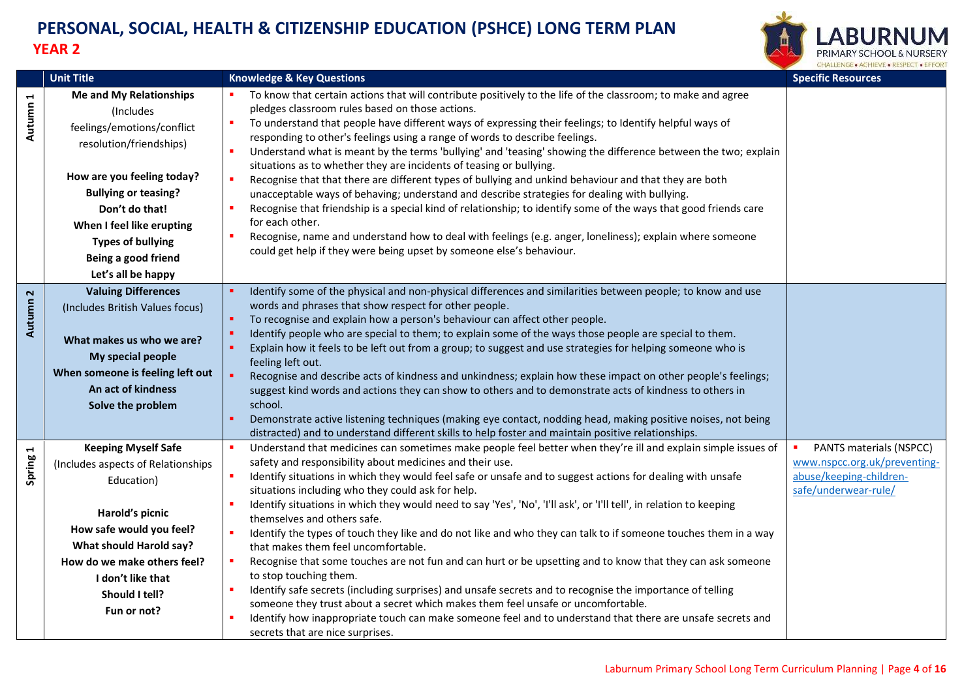

<span id="page-3-2"></span><span id="page-3-1"></span><span id="page-3-0"></span>

|                     | <b>Unit Title</b>                                                                                                                                                                                                                                                                         | <b>Knowledge &amp; Key Questions</b>                                                                                                                                                                                                                                                                                                                                                                                                                                                                                                                                                                                                                                                                                                                                                                                                                                                                                                                                                                                                                                                                                                                         | <b>Specific Resources</b>                                                                                  |
|---------------------|-------------------------------------------------------------------------------------------------------------------------------------------------------------------------------------------------------------------------------------------------------------------------------------------|--------------------------------------------------------------------------------------------------------------------------------------------------------------------------------------------------------------------------------------------------------------------------------------------------------------------------------------------------------------------------------------------------------------------------------------------------------------------------------------------------------------------------------------------------------------------------------------------------------------------------------------------------------------------------------------------------------------------------------------------------------------------------------------------------------------------------------------------------------------------------------------------------------------------------------------------------------------------------------------------------------------------------------------------------------------------------------------------------------------------------------------------------------------|------------------------------------------------------------------------------------------------------------|
| Autumn 1            | <b>Me and My Relationships</b><br>(Includes<br>feelings/emotions/conflict<br>resolution/friendships)<br>How are you feeling today?<br><b>Bullying or teasing?</b><br>Don't do that!<br>When I feel like erupting<br><b>Types of bullying</b><br>Being a good friend<br>Let's all be happy | To know that certain actions that will contribute positively to the life of the classroom; to make and agree<br>pledges classroom rules based on those actions.<br>To understand that people have different ways of expressing their feelings; to Identify helpful ways of<br>responding to other's feelings using a range of words to describe feelings.<br>Understand what is meant by the terms 'bullying' and 'teasing' showing the difference between the two; explain<br>$\blacksquare$<br>situations as to whether they are incidents of teasing or bullying.<br>Recognise that that there are different types of bullying and unkind behaviour and that they are both<br>unacceptable ways of behaving; understand and describe strategies for dealing with bullying.<br>Recognise that friendship is a special kind of relationship; to identify some of the ways that good friends care<br>for each other.<br>Recognise, name and understand how to deal with feelings (e.g. anger, loneliness); explain where someone<br>could get help if they were being upset by someone else's behaviour.                                                     |                                                                                                            |
| Autumn <sub>2</sub> | <b>Valuing Differences</b><br>(Includes British Values focus)<br>What makes us who we are?<br>My special people<br>When someone is feeling left out<br>An act of kindness<br>Solve the problem                                                                                            | Identify some of the physical and non-physical differences and similarities between people; to know and use<br>words and phrases that show respect for other people.<br>To recognise and explain how a person's behaviour can affect other people.<br>Identify people who are special to them; to explain some of the ways those people are special to them.<br>Explain how it feels to be left out from a group; to suggest and use strategies for helping someone who is<br>feeling left out.<br>Recognise and describe acts of kindness and unkindness; explain how these impact on other people's feelings;<br>suggest kind words and actions they can show to others and to demonstrate acts of kindness to others in<br>school.<br>Demonstrate active listening techniques (making eye contact, nodding head, making positive noises, not being<br>distracted) and to understand different skills to help foster and maintain positive relationships.                                                                                                                                                                                                  |                                                                                                            |
| Spring 1            | <b>Keeping Myself Safe</b><br>(Includes aspects of Relationships<br>Education)<br>Harold's picnic<br>How safe would you feel?<br>What should Harold say?<br>How do we make others feel?<br>I don't like that<br>Should I tell?<br>Fun or not?                                             | Understand that medicines can sometimes make people feel better when they're ill and explain simple issues of<br>safety and responsibility about medicines and their use.<br>Identify situations in which they would feel safe or unsafe and to suggest actions for dealing with unsafe<br>situations including who they could ask for help.<br>Identify situations in which they would need to say 'Yes', 'No', 'I'll ask', or 'I'll tell', in relation to keeping<br>themselves and others safe.<br>Identify the types of touch they like and do not like and who they can talk to if someone touches them in a way<br>л<br>that makes them feel uncomfortable.<br>Recognise that some touches are not fun and can hurt or be upsetting and to know that they can ask someone<br>to stop touching them.<br>Identify safe secrets (including surprises) and unsafe secrets and to recognise the importance of telling<br>someone they trust about a secret which makes them feel unsafe or uncomfortable.<br>Identify how inappropriate touch can make someone feel and to understand that there are unsafe secrets and<br>secrets that are nice surprises. | PANTS materials (NSPCC)<br>www.nspcc.org.uk/preventing-<br>abuse/keeping-children-<br>safe/underwear-rule/ |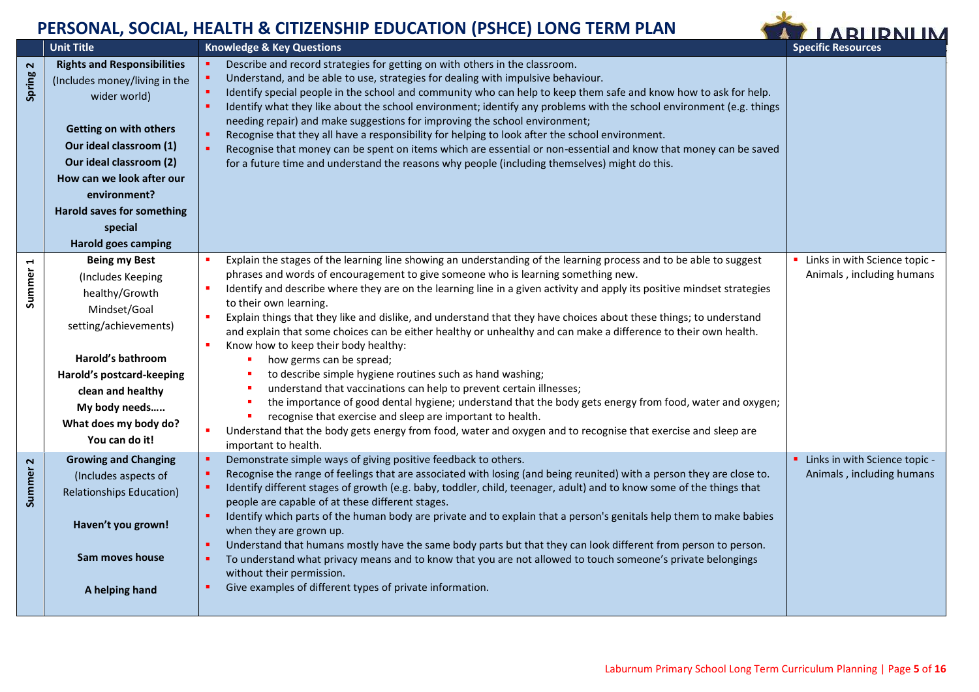<span id="page-4-2"></span>L



<span id="page-4-1"></span><span id="page-4-0"></span>

|          | <b>Unit Title</b>                                                                                                                                                                                                                                                                                     | <b>Knowledge &amp; Key Questions</b>                                                                                                                                                                                                                                                                                                                                                                                                                                                                                                                                                                                                                                                                                                                                                                                                                                                                                                                                                                                                                                                                                                                    | <b>Specific Resources</b>                                    |
|----------|-------------------------------------------------------------------------------------------------------------------------------------------------------------------------------------------------------------------------------------------------------------------------------------------------------|---------------------------------------------------------------------------------------------------------------------------------------------------------------------------------------------------------------------------------------------------------------------------------------------------------------------------------------------------------------------------------------------------------------------------------------------------------------------------------------------------------------------------------------------------------------------------------------------------------------------------------------------------------------------------------------------------------------------------------------------------------------------------------------------------------------------------------------------------------------------------------------------------------------------------------------------------------------------------------------------------------------------------------------------------------------------------------------------------------------------------------------------------------|--------------------------------------------------------------|
| Spring 2 | <b>Rights and Responsibilities</b><br>(Includes money/living in the<br>wider world)<br><b>Getting on with others</b><br>Our ideal classroom (1)<br>Our ideal classroom (2)<br>How can we look after our<br>environment?<br><b>Harold saves for something</b><br>special<br><b>Harold goes camping</b> | Describe and record strategies for getting on with others in the classroom.<br>Understand, and be able to use, strategies for dealing with impulsive behaviour.<br>Identify special people in the school and community who can help to keep them safe and know how to ask for help.<br>×<br>Identify what they like about the school environment; identify any problems with the school environment (e.g. things<br>needing repair) and make suggestions for improving the school environment;<br>Recognise that they all have a responsibility for helping to look after the school environment.<br>Recognise that money can be spent on items which are essential or non-essential and know that money can be saved<br>for a future time and understand the reasons why people (including themselves) might do this.                                                                                                                                                                                                                                                                                                                                  |                                                              |
| Summer 1 | <b>Being my Best</b><br>(Includes Keeping<br>healthy/Growth<br>Mindset/Goal<br>setting/achievements)<br>Harold's bathroom<br>Harold's postcard-keeping<br>clean and healthy<br>My body needs<br>What does my body do?<br>You can do it!                                                               | Explain the stages of the learning line showing an understanding of the learning process and to be able to suggest<br>phrases and words of encouragement to give someone who is learning something new.<br>Identify and describe where they are on the learning line in a given activity and apply its positive mindset strategies<br>to their own learning.<br>Explain things that they like and dislike, and understand that they have choices about these things; to understand<br>$\blacksquare$<br>and explain that some choices can be either healthy or unhealthy and can make a difference to their own health.<br>Know how to keep their body healthy:<br>how germs can be spread;<br>to describe simple hygiene routines such as hand washing;<br>understand that vaccinations can help to prevent certain illnesses;<br>the importance of good dental hygiene; understand that the body gets energy from food, water and oxygen;<br>recognise that exercise and sleep are important to health.<br>Understand that the body gets energy from food, water and oxygen and to recognise that exercise and sleep are<br>п<br>important to health. | • Links in with Science topic -<br>Animals, including humans |
| Summer 2 | <b>Growing and Changing</b><br>(Includes aspects of<br><b>Relationships Education)</b><br>Haven't you grown!<br>Sam moves house<br>A helping hand                                                                                                                                                     | Demonstrate simple ways of giving positive feedback to others.<br>Recognise the range of feelings that are associated with losing (and being reunited) with a person they are close to.<br>Identify different stages of growth (e.g. baby, toddler, child, teenager, adult) and to know some of the things that<br>people are capable of at these different stages.<br>Identify which parts of the human body are private and to explain that a person's genitals help them to make babies<br>when they are grown up.<br>Understand that humans mostly have the same body parts but that they can look different from person to person.<br>To understand what privacy means and to know that you are not allowed to touch someone's private belongings<br>without their permission.<br>Give examples of different types of private information.                                                                                                                                                                                                                                                                                                         | • Links in with Science topic -<br>Animals, including humans |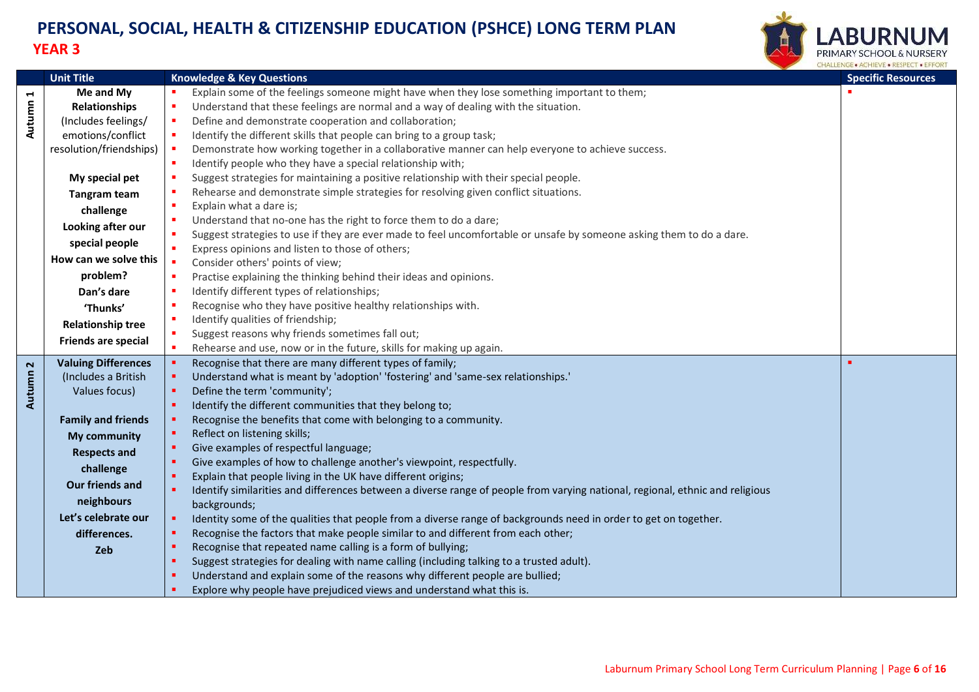

<span id="page-5-1"></span><span id="page-5-0"></span>

|                      | <b>Unit Title</b>          | <b>Knowledge &amp; Key Questions</b>                                                                                                                                     | <b>Specific Resources</b> |
|----------------------|----------------------------|--------------------------------------------------------------------------------------------------------------------------------------------------------------------------|---------------------------|
| $\blacktriangleleft$ | Me and My                  | Explain some of the feelings someone might have when they lose something important to them;                                                                              |                           |
| Autumn               | <b>Relationships</b>       | Understand that these feelings are normal and a way of dealing with the situation.<br>п                                                                                  |                           |
|                      | (Includes feelings/        | $\blacksquare$<br>Define and demonstrate cooperation and collaboration;                                                                                                  |                           |
|                      | emotions/conflict          | Identify the different skills that people can bring to a group task;<br>$\blacksquare$                                                                                   |                           |
|                      | resolution/friendships)    | $\blacksquare$<br>Demonstrate how working together in a collaborative manner can help everyone to achieve success.                                                       |                           |
|                      |                            | Identify people who they have a special relationship with;<br>$\blacksquare$                                                                                             |                           |
|                      | My special pet             | Suggest strategies for maintaining a positive relationship with their special people.                                                                                    |                           |
|                      | <b>Tangram team</b>        | Rehearse and demonstrate simple strategies for resolving given conflict situations.                                                                                      |                           |
|                      | challenge                  | Explain what a dare is;<br>л                                                                                                                                             |                           |
|                      | Looking after our          | Understand that no-one has the right to force them to do a dare;<br>п                                                                                                    |                           |
|                      | special people             | Suggest strategies to use if they are ever made to feel uncomfortable or unsafe by someone asking them to do a dare.<br>×<br>$\mathbf{u}$                                |                           |
|                      | How can we solve this      | Express opinions and listen to those of others;<br>×.                                                                                                                    |                           |
|                      | problem?                   | Consider others' points of view;<br>Practise explaining the thinking behind their ideas and opinions.<br>$\blacksquare$                                                  |                           |
|                      | Dan's dare                 | Identify different types of relationships;                                                                                                                               |                           |
|                      |                            | Recognise who they have positive healthy relationships with.                                                                                                             |                           |
|                      | 'Thunks'                   | Identify qualities of friendship;                                                                                                                                        |                           |
|                      | <b>Relationship tree</b>   | Suggest reasons why friends sometimes fall out;<br>×.                                                                                                                    |                           |
|                      | Friends are special        | Rehearse and use, now or in the future, skills for making up again.<br>$\blacksquare$                                                                                    |                           |
|                      | <b>Valuing Differences</b> | Recognise that there are many different types of family;<br>٠                                                                                                            |                           |
| Autumn 2             | (Includes a British        | Understand what is meant by 'adoption' 'fostering' and 'same-sex relationships.'<br>ж.                                                                                   |                           |
|                      | Values focus)              | Define the term 'community';<br>ж.                                                                                                                                       |                           |
|                      |                            | Identify the different communities that they belong to;<br>×.                                                                                                            |                           |
|                      | <b>Family and friends</b>  | Recognise the benefits that come with belonging to a community.<br>ж.                                                                                                    |                           |
|                      | <b>My community</b>        | Reflect on listening skills;<br>$\blacksquare$                                                                                                                           |                           |
|                      | <b>Respects and</b>        | Give examples of respectful language;<br>×.                                                                                                                              |                           |
|                      | challenge                  | Give examples of how to challenge another's viewpoint, respectfully.<br>л.                                                                                               |                           |
|                      | Our friends and            | Explain that people living in the UK have different origins;<br>×.                                                                                                       |                           |
|                      | neighbours                 | Identify similarities and differences between a diverse range of people from varying national, regional, ethnic and religious<br>m.                                      |                           |
|                      | Let's celebrate our        | backgrounds;                                                                                                                                                             |                           |
|                      |                            | Identity some of the qualities that people from a diverse range of backgrounds need in order to get on together.<br>$\blacksquare$                                       |                           |
|                      | differences.               | Recognise the factors that make people similar to and different from each other;<br>$\blacksquare$<br>ж                                                                  |                           |
|                      | Zeb                        | Recognise that repeated name calling is a form of bullying;                                                                                                              |                           |
|                      |                            | Suggest strategies for dealing with name calling (including talking to a trusted adult).<br>Understand and explain some of the reasons why different people are bullied; |                           |
|                      |                            | Explore why people have prejudiced views and understand what this is.                                                                                                    |                           |
|                      |                            |                                                                                                                                                                          |                           |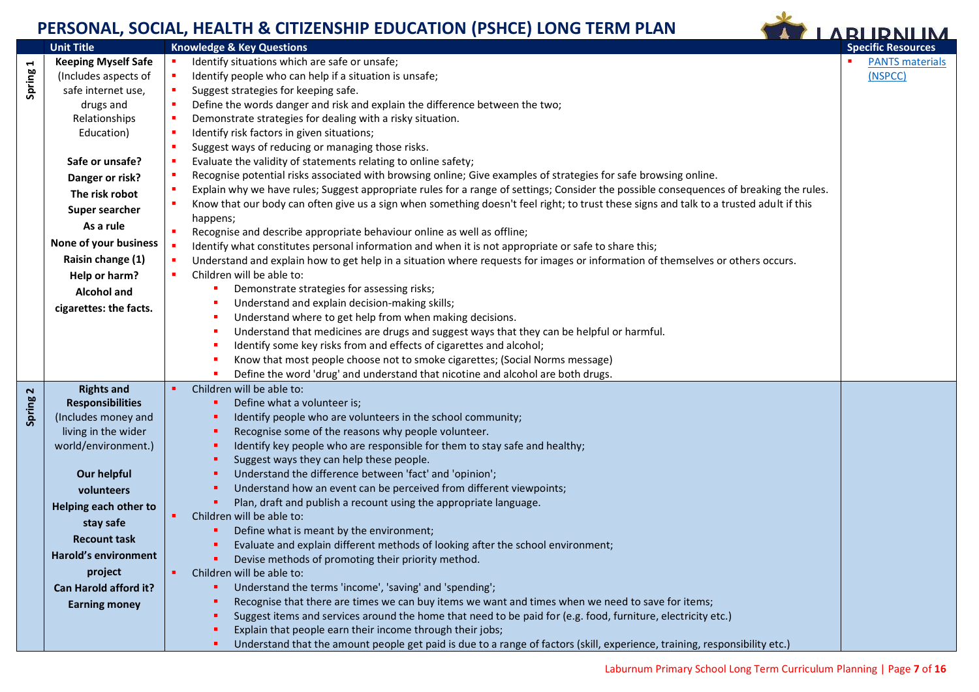<span id="page-6-1"></span><span id="page-6-0"></span>

|          |                            | PERSUNAL, SUCIAL, HEALTH & CHIZENSHIP EDUCATION (PSHCE) LUNG TERMI PLAN                                                                                     | <b>ARLIDNI IM</b>         |
|----------|----------------------------|-------------------------------------------------------------------------------------------------------------------------------------------------------------|---------------------------|
|          | <b>Unit Title</b>          | <b>Knowledge &amp; Key Questions</b>                                                                                                                        | <b>Specific Resources</b> |
|          | <b>Keeping Myself Safe</b> | Identify situations which are safe or unsafe;                                                                                                               | <b>PANTS materials</b>    |
| Spring 1 | (Includes aspects of       | Identify people who can help if a situation is unsafe;                                                                                                      | (NSPCC)                   |
|          | safe internet use,         | Suggest strategies for keeping safe.                                                                                                                        |                           |
|          | drugs and                  | Define the words danger and risk and explain the difference between the two;                                                                                |                           |
|          | Relationships              | Demonstrate strategies for dealing with a risky situation.                                                                                                  |                           |
|          | Education)                 | Identify risk factors in given situations;                                                                                                                  |                           |
|          |                            | Suggest ways of reducing or managing those risks.                                                                                                           |                           |
|          | Safe or unsafe?            | Evaluate the validity of statements relating to online safety;                                                                                              |                           |
|          | Danger or risk?            | Recognise potential risks associated with browsing online; Give examples of strategies for safe browsing online.                                            |                           |
|          | The risk robot             | Explain why we have rules; Suggest appropriate rules for a range of settings; Consider the possible consequences of breaking the rules.                     |                           |
|          | Super searcher             | Know that our body can often give us a sign when something doesn't feel right; to trust these signs and talk to a trusted adult if this                     |                           |
|          | As a rule                  | happens;                                                                                                                                                    |                           |
|          | None of your business      | Recognise and describe appropriate behaviour online as well as offline;                                                                                     |                           |
|          | Raisin change (1)          | Identify what constitutes personal information and when it is not appropriate or safe to share this;                                                        |                           |
|          |                            | Understand and explain how to get help in a situation where requests for images or information of themselves or others occurs.<br>Children will be able to: |                           |
|          | Help or harm?              | Demonstrate strategies for assessing risks;                                                                                                                 |                           |
|          | <b>Alcohol and</b>         | Understand and explain decision-making skills;                                                                                                              |                           |
|          | cigarettes: the facts.     | Understand where to get help from when making decisions.                                                                                                    |                           |
|          |                            | Understand that medicines are drugs and suggest ways that they can be helpful or harmful.                                                                   |                           |
|          |                            | Identify some key risks from and effects of cigarettes and alcohol;                                                                                         |                           |
|          |                            | Know that most people choose not to smoke cigarettes; (Social Norms message)                                                                                |                           |
|          |                            | Define the word 'drug' and understand that nicotine and alcohol are both drugs.                                                                             |                           |
| 2        | <b>Rights and</b>          | Children will be able to:                                                                                                                                   |                           |
|          | <b>Responsibilities</b>    | Define what a volunteer is;                                                                                                                                 |                           |
| Spring   | (Includes money and        | Identify people who are volunteers in the school community;                                                                                                 |                           |
|          | living in the wider        | Recognise some of the reasons why people volunteer.                                                                                                         |                           |
|          | world/environment.)        | Identify key people who are responsible for them to stay safe and healthy;                                                                                  |                           |
|          |                            | Suggest ways they can help these people.                                                                                                                    |                           |
|          | Our helpful                | Understand the difference between 'fact' and 'opinion';                                                                                                     |                           |
|          | volunteers                 | Understand how an event can be perceived from different viewpoints;                                                                                         |                           |
|          | Helping each other to      | Plan, draft and publish a recount using the appropriate language.                                                                                           |                           |
|          | stay safe                  | Children will be able to:                                                                                                                                   |                           |
|          | <b>Recount task</b>        | Define what is meant by the environment;                                                                                                                    |                           |
|          |                            | Evaluate and explain different methods of looking after the school environment;                                                                             |                           |
|          | Harold's environment       | Devise methods of promoting their priority method.                                                                                                          |                           |
|          | project                    | Children will be able to:                                                                                                                                   |                           |
|          | Can Harold afford it?      | Understand the terms 'income', 'saving' and 'spending';                                                                                                     |                           |
|          | <b>Earning money</b>       | Recognise that there are times we can buy items we want and times when we need to save for items;                                                           |                           |
|          |                            | Suggest items and services around the home that need to be paid for (e.g. food, furniture, electricity etc.)                                                |                           |
|          |                            | Explain that people earn their income through their jobs;                                                                                                   |                           |
|          |                            | Understand that the amount people get paid is due to a range of factors (skill, experience, training, responsibility etc.)                                  |                           |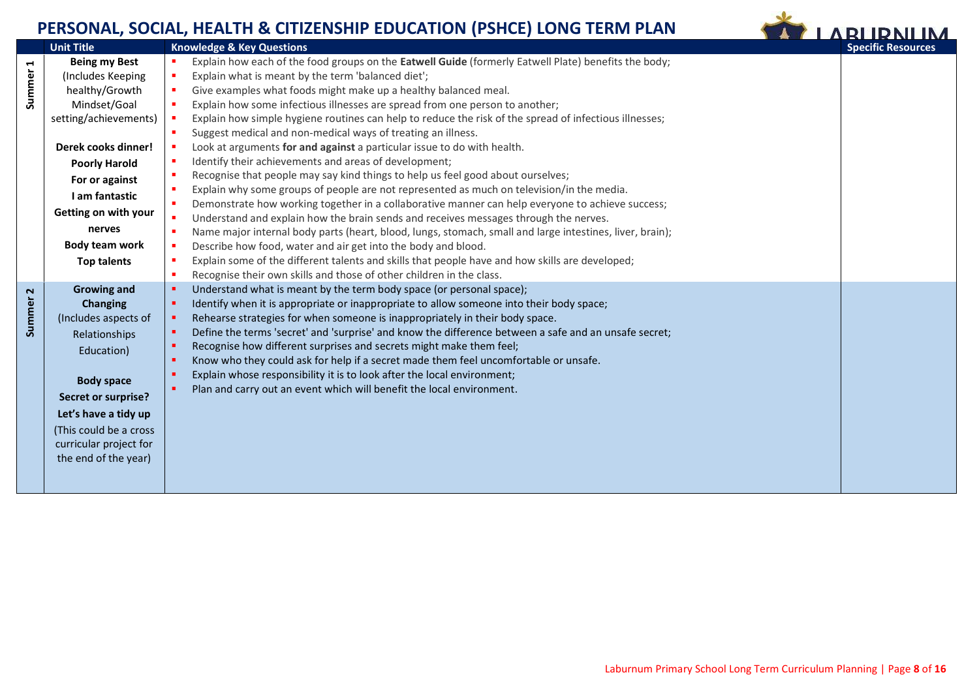

<span id="page-7-1"></span><span id="page-7-0"></span>

|                       | <b>Unit Title</b>      | <b>Knowledge &amp; Key Questions</b>                                                                                                                             | <b>Specific Resources</b> |
|-----------------------|------------------------|------------------------------------------------------------------------------------------------------------------------------------------------------------------|---------------------------|
| $\blacktriangleright$ | <b>Being my Best</b>   | Explain how each of the food groups on the Eatwell Guide (formerly Eatwell Plate) benefits the body;<br><b>CO</b>                                                |                           |
|                       | (Includes Keeping      | Explain what is meant by the term 'balanced diet';<br>٠                                                                                                          |                           |
| Summer                | healthy/Growth         | Give examples what foods might make up a healthy balanced meal.<br>$\blacksquare$                                                                                |                           |
|                       | Mindset/Goal           | Explain how some infectious illnesses are spread from one person to another;<br>×                                                                                |                           |
|                       | setting/achievements)  | Explain how simple hygiene routines can help to reduce the risk of the spread of infectious illnesses;                                                           |                           |
|                       |                        | Suggest medical and non-medical ways of treating an illness.<br>٠                                                                                                |                           |
|                       | Derek cooks dinner!    | Look at arguments for and against a particular issue to do with health.<br>×                                                                                     |                           |
|                       | <b>Poorly Harold</b>   | Identify their achievements and areas of development;<br>×.                                                                                                      |                           |
|                       | For or against         | Recognise that people may say kind things to help us feel good about ourselves;<br>л                                                                             |                           |
|                       | I am fantastic         | $\blacksquare$<br>Explain why some groups of people are not represented as much on television/in the media.                                                      |                           |
|                       | Getting on with your   | $\bullet$<br>Demonstrate how working together in a collaborative manner can help everyone to achieve success;                                                    |                           |
|                       |                        | $\blacksquare$<br>Understand and explain how the brain sends and receives messages through the nerves.                                                           |                           |
|                       | nerves                 | ×<br>Name major internal body parts (heart, blood, lungs, stomach, small and large intestines, liver, brain);                                                    |                           |
|                       | Body team work         | Describe how food, water and air get into the body and blood.<br>ж                                                                                               |                           |
|                       | Top talents            | Explain some of the different talents and skills that people have and how skills are developed;<br>$\blacksquare$                                                |                           |
|                       |                        | л<br>Recognise their own skills and those of other children in the class.                                                                                        |                           |
| $\mathbf{\mathsf{N}}$ | <b>Growing and</b>     | ٠<br>Understand what is meant by the term body space (or personal space);                                                                                        |                           |
|                       | <b>Changing</b>        | Identify when it is appropriate or inappropriate to allow someone into their body space;<br>$\blacksquare$                                                       |                           |
| Summer                | (Includes aspects of   | Rehearse strategies for when someone is inappropriately in their body space.<br>л                                                                                |                           |
|                       | Relationships          | Define the terms 'secret' and 'surprise' and know the difference between a safe and an unsafe secret;<br>л<br>л                                                  |                           |
|                       | Education)             | Recognise how different surprises and secrets might make them feel;<br>Know who they could ask for help if a secret made them feel uncomfortable or unsafe.<br>٠ |                           |
|                       |                        | Explain whose responsibility it is to look after the local environment;<br>л                                                                                     |                           |
|                       | <b>Body space</b>      | ٠<br>Plan and carry out an event which will benefit the local environment.                                                                                       |                           |
|                       | Secret or surprise?    |                                                                                                                                                                  |                           |
|                       | Let's have a tidy up   |                                                                                                                                                                  |                           |
|                       | (This could be a cross |                                                                                                                                                                  |                           |
|                       | curricular project for |                                                                                                                                                                  |                           |
|                       | the end of the year)   |                                                                                                                                                                  |                           |
|                       |                        |                                                                                                                                                                  |                           |
|                       |                        |                                                                                                                                                                  |                           |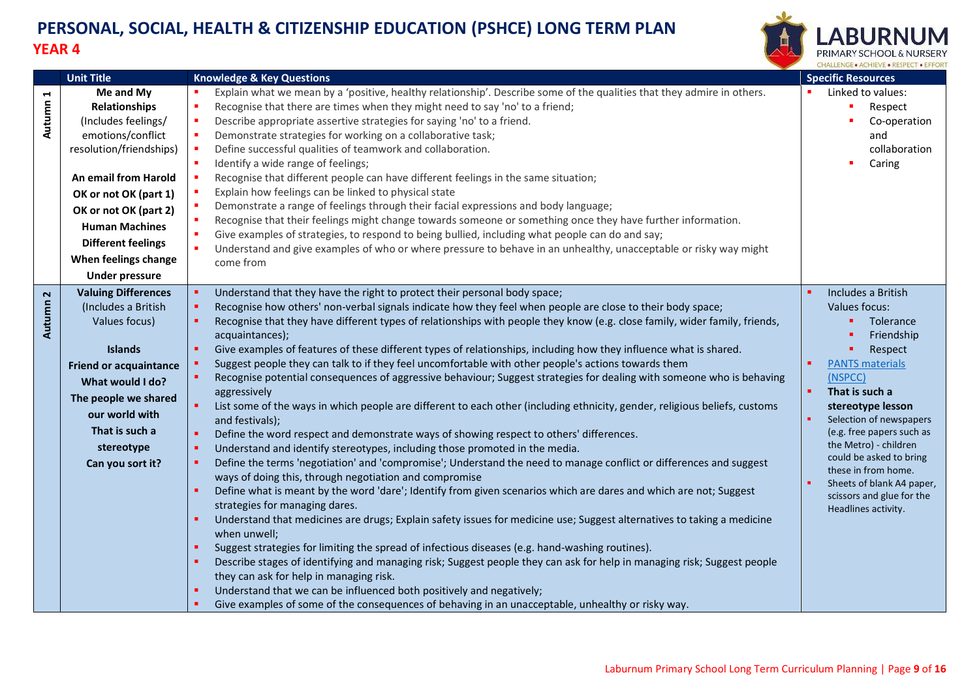

<span id="page-8-1"></span><span id="page-8-0"></span>

| <b>Unit Title</b>                                                                                                                                                                                                                                                                                     | <b>Knowledge &amp; Key Questions</b>                                                                                                                                                                                                                                                                                                                                                                                                                                                                                                                                                                                                                                                                                                                                                                                                                                                                                                                                                                                                                                                                                                                                                                                                                                                                                                                                                                                                                                                                                                                                                                                                                                                                                                                                                                                                                                                                                                                                                 | <b>Specific Resources</b>                                                                                                                                                                                                                                                                                                                                                 |
|-------------------------------------------------------------------------------------------------------------------------------------------------------------------------------------------------------------------------------------------------------------------------------------------------------|--------------------------------------------------------------------------------------------------------------------------------------------------------------------------------------------------------------------------------------------------------------------------------------------------------------------------------------------------------------------------------------------------------------------------------------------------------------------------------------------------------------------------------------------------------------------------------------------------------------------------------------------------------------------------------------------------------------------------------------------------------------------------------------------------------------------------------------------------------------------------------------------------------------------------------------------------------------------------------------------------------------------------------------------------------------------------------------------------------------------------------------------------------------------------------------------------------------------------------------------------------------------------------------------------------------------------------------------------------------------------------------------------------------------------------------------------------------------------------------------------------------------------------------------------------------------------------------------------------------------------------------------------------------------------------------------------------------------------------------------------------------------------------------------------------------------------------------------------------------------------------------------------------------------------------------------------------------------------------------|---------------------------------------------------------------------------------------------------------------------------------------------------------------------------------------------------------------------------------------------------------------------------------------------------------------------------------------------------------------------------|
| Me and My<br>Autumn 1<br><b>Relationships</b><br>(Includes feelings/<br>emotions/conflict<br>resolution/friendships)<br>An email from Harold<br>OK or not OK (part 1)<br>OK or not OK (part 2)<br><b>Human Machines</b><br><b>Different feelings</b><br>When feelings change<br><b>Under pressure</b> | Explain what we mean by a 'positive, healthy relationship'. Describe some of the qualities that they admire in others.<br>Recognise that there are times when they might need to say 'no' to a friend;<br>٠<br>Describe appropriate assertive strategies for saying 'no' to a friend.<br>Demonstrate strategies for working on a collaborative task;<br>Define successful qualities of teamwork and collaboration.<br>Identify a wide range of feelings;<br>Recognise that different people can have different feelings in the same situation;<br>Explain how feelings can be linked to physical state<br>Demonstrate a range of feelings through their facial expressions and body language;<br>Recognise that their feelings might change towards someone or something once they have further information.<br>Give examples of strategies, to respond to being bullied, including what people can do and say;<br>٠<br>Understand and give examples of who or where pressure to behave in an unhealthy, unacceptable or risky way might<br>come from                                                                                                                                                                                                                                                                                                                                                                                                                                                                                                                                                                                                                                                                                                                                                                                                                                                                                                                                | Linked to values:<br>Respect<br>Co-operation<br>and<br>collaboration<br>Caring                                                                                                                                                                                                                                                                                            |
| <b>Valuing Differences</b><br>Autumn <sub>2</sub><br>(Includes a British<br>Values focus)<br><b>Islands</b><br><b>Friend or acquaintance</b><br>What would I do?<br>The people we shared<br>our world with<br>That is such a<br>stereotype<br>Can you sort it?                                        | Understand that they have the right to protect their personal body space;<br>Recognise how others' non-verbal signals indicate how they feel when people are close to their body space;<br>Recognise that they have different types of relationships with people they know (e.g. close family, wider family, friends,<br>acquaintances);<br>Give examples of features of these different types of relationships, including how they influence what is shared.<br>Suggest people they can talk to if they feel uncomfortable with other people's actions towards them<br>Recognise potential consequences of aggressive behaviour; Suggest strategies for dealing with someone who is behaving<br>aggressively<br>List some of the ways in which people are different to each other (including ethnicity, gender, religious beliefs, customs<br>٠<br>and festivals);<br>Define the word respect and demonstrate ways of showing respect to others' differences.<br>Understand and identify stereotypes, including those promoted in the media.<br>Define the terms 'negotiation' and 'compromise'; Understand the need to manage conflict or differences and suggest<br>ways of doing this, through negotiation and compromise<br>Define what is meant by the word 'dare'; Identify from given scenarios which are dares and which are not; Suggest<br>strategies for managing dares.<br>Understand that medicines are drugs; Explain safety issues for medicine use; Suggest alternatives to taking a medicine<br>when unwell;<br>Suggest strategies for limiting the spread of infectious diseases (e.g. hand-washing routines).<br>Describe stages of identifying and managing risk; Suggest people they can ask for help in managing risk; Suggest people<br>they can ask for help in managing risk.<br>Understand that we can be influenced both positively and negatively;<br>Give examples of some of the consequences of behaving in an unacceptable, unhealthy or risky way. | Includes a British<br>Values focus:<br>Tolerance<br>Friendship<br>Respect<br><b>PANTS materials</b><br>(NSPCC)<br>That is such a<br>stereotype lesson<br>Selection of newspapers<br>(e.g. free papers such as<br>the Metro) - children<br>could be asked to bring<br>these in from home.<br>Sheets of blank A4 paper,<br>scissors and glue for the<br>Headlines activity. |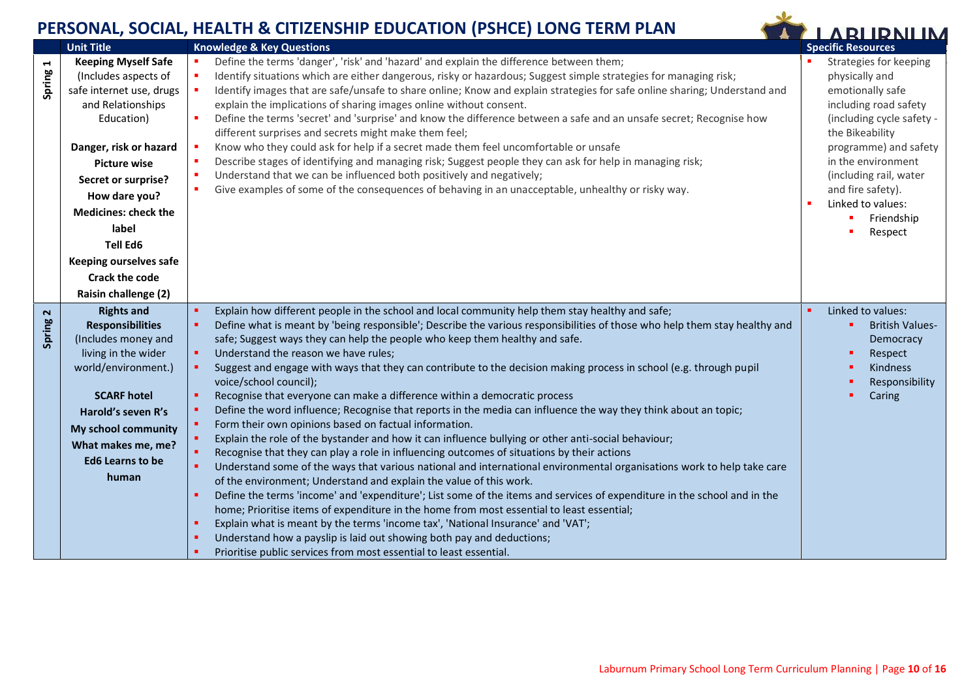<span id="page-9-1"></span><span id="page-9-0"></span>

|             |                                                                                                                                                                                                                                                                                                                                                                              | EKSUNAL, SUCIAL, HEALTH & CHIZENSHIP EDUCATION (PSHCE) LUNG TEKIN PLAN                                                                                                                                                                                                                                                                                                                                                                                                                                                                                                                                                                                                                                                                                                                                                                                                                                                                                                                                                                                                                                                                                                                                                                                                                                                                                                                                                                                                                                                                                                                                                                                                                                                                 | <b>LARLIDNILIM</b>                                                                                                                                                                                                                                                                    |                                                                              |
|-------------|------------------------------------------------------------------------------------------------------------------------------------------------------------------------------------------------------------------------------------------------------------------------------------------------------------------------------------------------------------------------------|----------------------------------------------------------------------------------------------------------------------------------------------------------------------------------------------------------------------------------------------------------------------------------------------------------------------------------------------------------------------------------------------------------------------------------------------------------------------------------------------------------------------------------------------------------------------------------------------------------------------------------------------------------------------------------------------------------------------------------------------------------------------------------------------------------------------------------------------------------------------------------------------------------------------------------------------------------------------------------------------------------------------------------------------------------------------------------------------------------------------------------------------------------------------------------------------------------------------------------------------------------------------------------------------------------------------------------------------------------------------------------------------------------------------------------------------------------------------------------------------------------------------------------------------------------------------------------------------------------------------------------------------------------------------------------------------------------------------------------------|---------------------------------------------------------------------------------------------------------------------------------------------------------------------------------------------------------------------------------------------------------------------------------------|------------------------------------------------------------------------------|
| Spring 1    | <b>Unit Title</b><br><b>Keeping Myself Safe</b><br>(Includes aspects of<br>safe internet use, drugs<br>and Relationships<br>Education)<br>Danger, risk or hazard<br><b>Picture wise</b><br>Secret or surprise?<br>How dare you?<br><b>Medicines: check the</b><br>label<br><b>Tell Ed6</b><br><b>Keeping ourselves safe</b><br><b>Crack the code</b><br>Raisin challenge (2) | <b>Knowledge &amp; Key Questions</b><br>Define the terms 'danger', 'risk' and 'hazard' and explain the difference between them;<br>п<br>Identify situations which are either dangerous, risky or hazardous; Suggest simple strategies for managing risk;<br>٠<br>Identify images that are safe/unsafe to share online; Know and explain strategies for safe online sharing; Understand and<br>х<br>explain the implications of sharing images online without consent.<br>Define the terms 'secret' and 'surprise' and know the difference between a safe and an unsafe secret; Recognise how<br>п<br>different surprises and secrets might make them feel;<br>Know who they could ask for help if a secret made them feel uncomfortable or unsafe<br>л<br>Describe stages of identifying and managing risk; Suggest people they can ask for help in managing risk;<br>×<br>Understand that we can be influenced both positively and negatively;<br>$\blacksquare$<br>٠<br>Give examples of some of the consequences of behaving in an unacceptable, unhealthy or risky way.                                                                                                                                                                                                                                                                                                                                                                                                                                                                                                                                                                                                                                                            | <b>Specific Resources</b><br>Strategies for keeping<br>physically and<br>emotionally safe<br>including road safety<br>(including cycle safety -<br>the Bikeability<br>programme) and safety<br>in the environment<br>(including rail, water<br>and fire safety).<br>Linked to values: | Friendship<br>Respect                                                        |
| 2<br>Spring | <b>Rights and</b><br><b>Responsibilities</b><br>(Includes money and<br>living in the wider<br>world/environment.)<br><b>SCARF hotel</b><br>Harold's seven R's<br>My school community<br>What makes me, me?<br><b>Ed6 Learns to be</b><br>human                                                                                                                               | Explain how different people in the school and local community help them stay healthy and safe;<br>$\blacksquare$<br>Define what is meant by 'being responsible'; Describe the various responsibilities of those who help them stay healthy and<br>ш<br>safe; Suggest ways they can help the people who keep them healthy and safe.<br>Understand the reason we have rules;<br>٠<br>Suggest and engage with ways that they can contribute to the decision making process in school (e.g. through pupil<br>٠<br>voice/school council);<br>Recognise that everyone can make a difference within a democratic process<br>٠<br>Define the word influence; Recognise that reports in the media can influence the way they think about an topic;<br>л<br>Form their own opinions based on factual information.<br>ш<br>$\blacksquare$<br>Explain the role of the bystander and how it can influence bullying or other anti-social behaviour;<br>$\blacksquare$<br>Recognise that they can play a role in influencing outcomes of situations by their actions<br>٠<br>Understand some of the ways that various national and international environmental organisations work to help take care<br>of the environment; Understand and explain the value of this work.<br>Define the terms 'income' and 'expenditure'; List some of the items and services of expenditure in the school and in the<br>٠<br>home; Prioritise items of expenditure in the home from most essential to least essential;<br>Explain what is meant by the terms 'income tax', 'National Insurance' and 'VAT';<br>٠<br>Understand how a payslip is laid out showing both pay and deductions;<br>п<br>Prioritise public services from most essential to least essential. | Linked to values:<br>Caring                                                                                                                                                                                                                                                           | <b>British Values-</b><br>Democracy<br>Respect<br>Kindness<br>Responsibility |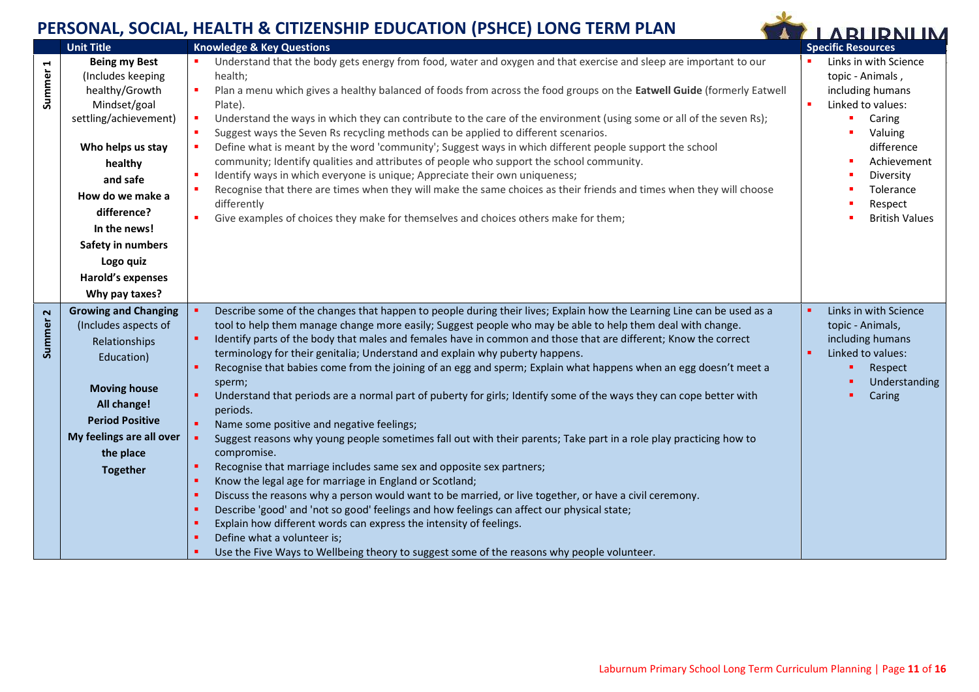<span id="page-10-0"></span>**Summer 1**

<span id="page-10-1"></span>**Summer 2**

**Being my Best** (Includes keeping healthy/Growth Mindset/goal settling/achievement)

**Who helps us stay healthy and safe How do we make a difference? In the news! Safety in numbers Logo quiz Harold's expenses Why pay taxes?**

**Growing and Changing** (Includes aspects of Relationships Education)

> **Moving house All change! Period Positive**



**My feelings are all over the place Together** Suggest reasons why young people sometimes fall out with their parents; Take part in a role play practicing how to compromise. Recognise that marriage includes same sex and opposite sex partners; Know the legal age for marriage in England or Scotland; Discuss the reasons why a person would want to be married, or live together, or have a civil ceremony. Describe 'good' and 'not so good' feelings and how feelings can affect our physical state; Explain how different words can express the intensity of feelings. Define what a volunteer is; Use the Five Ways to Wellbeing theory to suggest some of the reasons why people volunteer.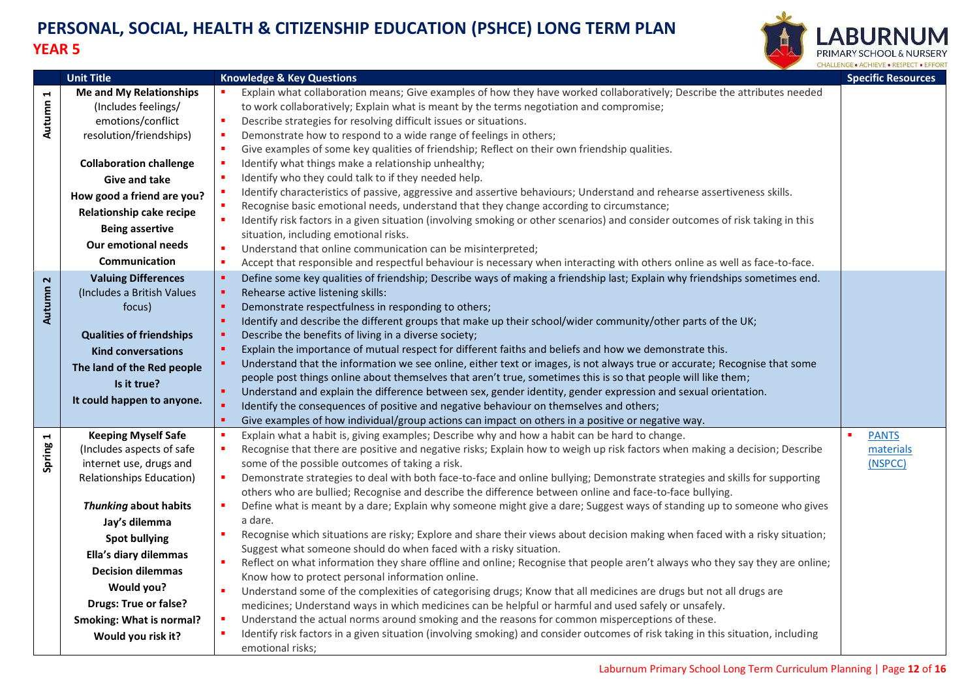

<span id="page-11-2"></span><span id="page-11-1"></span><span id="page-11-0"></span>

|          | <b>Unit Title</b>               | <b>Knowledge &amp; Key Questions</b>                                                                                                                                                                                                | <b>Specific Resources</b> |
|----------|---------------------------------|-------------------------------------------------------------------------------------------------------------------------------------------------------------------------------------------------------------------------------------|---------------------------|
|          | <b>Me and My Relationships</b>  | Explain what collaboration means; Give examples of how they have worked collaboratively; Describe the attributes needed                                                                                                             |                           |
| Autumn 1 | (Includes feelings/             | to work collaboratively; Explain what is meant by the terms negotiation and compromise;                                                                                                                                             |                           |
|          | emotions/conflict               | Describe strategies for resolving difficult issues or situations.<br>×.                                                                                                                                                             |                           |
|          | resolution/friendships)         | Demonstrate how to respond to a wide range of feelings in others;                                                                                                                                                                   |                           |
|          |                                 | Give examples of some key qualities of friendship; Reflect on their own friendship qualities.<br>$\blacksquare$                                                                                                                     |                           |
|          | <b>Collaboration challenge</b>  | Identify what things make a relationship unhealthy;                                                                                                                                                                                 |                           |
|          | <b>Give and take</b>            | Identify who they could talk to if they needed help.                                                                                                                                                                                |                           |
|          | How good a friend are you?      | Identify characteristics of passive, aggressive and assertive behaviours; Understand and rehearse assertiveness skills.                                                                                                             |                           |
|          | Relationship cake recipe        | Recognise basic emotional needs, understand that they change according to circumstance;                                                                                                                                             |                           |
|          | <b>Being assertive</b>          | Identify risk factors in a given situation (involving smoking or other scenarios) and consider outcomes of risk taking in this                                                                                                      |                           |
|          | <b>Our emotional needs</b>      | situation, including emotional risks.                                                                                                                                                                                               |                           |
|          |                                 | Understand that online communication can be misinterpreted;                                                                                                                                                                         |                           |
|          | Communication                   | Accept that responsible and respectful behaviour is necessary when interacting with others online as well as face-to-face.                                                                                                          |                           |
|          | <b>Valuing Differences</b>      | $\blacksquare$<br>Define some key qualities of friendship; Describe ways of making a friendship last; Explain why friendships sometimes end.                                                                                        |                           |
| Autumn 2 | (Includes a British Values      | $\blacksquare$<br>Rehearse active listening skills:                                                                                                                                                                                 |                           |
|          | focus)                          | Demonstrate respectfulness in responding to others;                                                                                                                                                                                 |                           |
|          |                                 | Identify and describe the different groups that make up their school/wider community/other parts of the UK;                                                                                                                         |                           |
|          | <b>Qualities of friendships</b> | Describe the benefits of living in a diverse society;                                                                                                                                                                               |                           |
|          | <b>Kind conversations</b>       | Explain the importance of mutual respect for different faiths and beliefs and how we demonstrate this.<br>Understand that the information we see online, either text or images, is not always true or accurate; Recognise that some |                           |
|          | The land of the Red people      | people post things online about themselves that aren't true, sometimes this is so that people will like them;                                                                                                                       |                           |
|          | Is it true?                     | Understand and explain the difference between sex, gender identity, gender expression and sexual orientation.<br>$\blacksquare$                                                                                                     |                           |
|          | It could happen to anyone.      | Identify the consequences of positive and negative behaviour on themselves and others;                                                                                                                                              |                           |
|          |                                 | Give examples of how individual/group actions can impact on others in a positive or negative way.                                                                                                                                   |                           |
|          | <b>Keeping Myself Safe</b>      | Explain what a habit is, giving examples; Describe why and how a habit can be hard to change.                                                                                                                                       | <b>PANTS</b><br>×         |
| Spring 1 | (Includes aspects of safe       | Recognise that there are positive and negative risks; Explain how to weigh up risk factors when making a decision; Describe                                                                                                         | materials                 |
|          | internet use, drugs and         | some of the possible outcomes of taking a risk.                                                                                                                                                                                     | (NSPCC)                   |
|          | Relationships Education)        | Demonstrate strategies to deal with both face-to-face and online bullying; Demonstrate strategies and skills for supporting<br>$\blacksquare$                                                                                       |                           |
|          |                                 | others who are bullied; Recognise and describe the difference between online and face-to-face bullying.                                                                                                                             |                           |
|          | Thunking about habits           | Define what is meant by a dare; Explain why someone might give a dare; Suggest ways of standing up to someone who gives                                                                                                             |                           |
|          | Jay's dilemma                   | a dare.                                                                                                                                                                                                                             |                           |
|          | <b>Spot bullying</b>            | Recognise which situations are risky; Explore and share their views about decision making when faced with a risky situation;                                                                                                        |                           |
|          | Ella's diary dilemmas           | Suggest what someone should do when faced with a risky situation.                                                                                                                                                                   |                           |
|          | <b>Decision dilemmas</b>        | Reflect on what information they share offline and online; Recognise that people aren't always who they say they are online;                                                                                                        |                           |
|          |                                 | Know how to protect personal information online.                                                                                                                                                                                    |                           |
|          | <b>Would you?</b>               | ×<br>Understand some of the complexities of categorising drugs; Know that all medicines are drugs but not all drugs are                                                                                                             |                           |
|          | <b>Drugs: True or false?</b>    | medicines; Understand ways in which medicines can be helpful or harmful and used safely or unsafely.                                                                                                                                |                           |
|          | <b>Smoking: What is normal?</b> | Understand the actual norms around smoking and the reasons for common misperceptions of these.                                                                                                                                      |                           |
|          | Would you risk it?              | Identify risk factors in a given situation (involving smoking) and consider outcomes of risk taking in this situation, including<br>emotional risks;                                                                                |                           |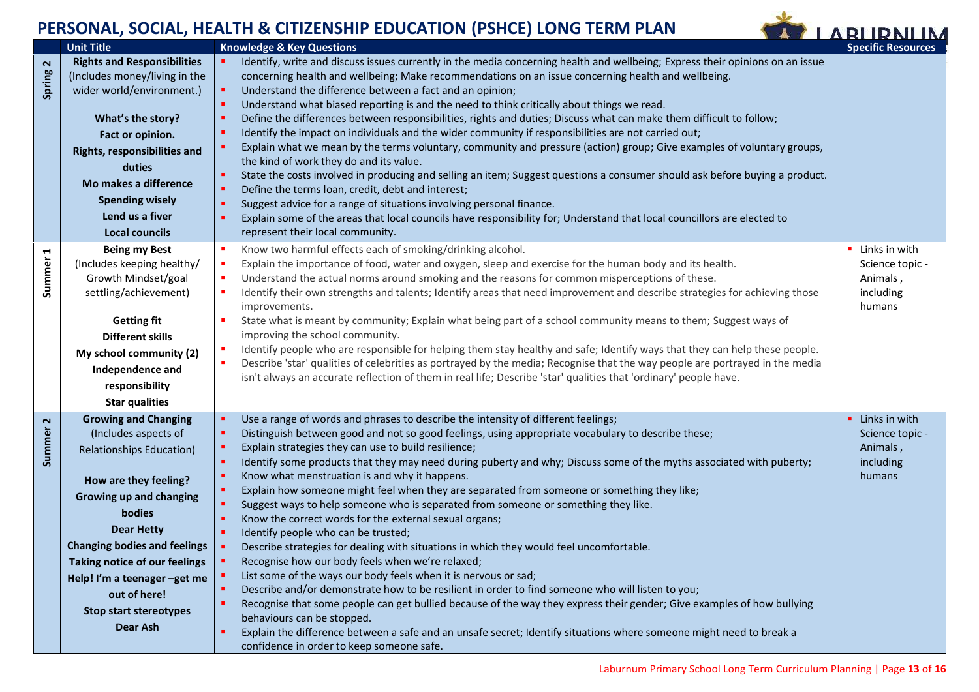

<span id="page-12-2"></span><span id="page-12-1"></span><span id="page-12-0"></span>

|                             | <b>Unit Title</b>                                                                                                                                                                                                                                                                                                                              | <b>Knowledge &amp; Key Questions</b>                                                                                                                                                                                                                                                                                                                                                                                                                                                                                                                                                                                                                                                                                                                                                                                                                                                                                                                                                                                                                                                                                                                                                                                                                                                                                                                             | <b>Specific Resources</b>                                             |
|-----------------------------|------------------------------------------------------------------------------------------------------------------------------------------------------------------------------------------------------------------------------------------------------------------------------------------------------------------------------------------------|------------------------------------------------------------------------------------------------------------------------------------------------------------------------------------------------------------------------------------------------------------------------------------------------------------------------------------------------------------------------------------------------------------------------------------------------------------------------------------------------------------------------------------------------------------------------------------------------------------------------------------------------------------------------------------------------------------------------------------------------------------------------------------------------------------------------------------------------------------------------------------------------------------------------------------------------------------------------------------------------------------------------------------------------------------------------------------------------------------------------------------------------------------------------------------------------------------------------------------------------------------------------------------------------------------------------------------------------------------------|-----------------------------------------------------------------------|
| Spring 2                    | <b>Rights and Responsibilities</b><br>(Includes money/living in the<br>wider world/environment.)<br>What's the story?<br>Fact or opinion.<br>Rights, responsibilities and<br>duties<br>Mo makes a difference<br><b>Spending wisely</b><br>Lend us a fiver<br><b>Local councils</b>                                                             | Identify, write and discuss issues currently in the media concerning health and wellbeing; Express their opinions on an issue<br>concerning health and wellbeing; Make recommendations on an issue concerning health and wellbeing.<br>Understand the difference between a fact and an opinion;<br>Understand what biased reporting is and the need to think critically about things we read.<br>Define the differences between responsibilities, rights and duties; Discuss what can make them difficult to follow;<br>Identify the impact on individuals and the wider community if responsibilities are not carried out;<br>Explain what we mean by the terms voluntary, community and pressure (action) group; Give examples of voluntary groups,<br>the kind of work they do and its value.<br>State the costs involved in producing and selling an item; Suggest questions a consumer should ask before buying a product.<br>Define the terms loan, credit, debt and interest;<br>Suggest advice for a range of situations involving personal finance.<br>Explain some of the areas that local councils have responsibility for; Understand that local councillors are elected to<br>represent their local community.                                                                                                                                      |                                                                       |
| ⊣<br>Summer                 | <b>Being my Best</b><br>(Includes keeping healthy/<br>Growth Mindset/goal<br>settling/achievement)<br><b>Getting fit</b><br><b>Different skills</b><br>My school community (2)<br>Independence and<br>responsibility<br><b>Star qualities</b>                                                                                                  | Know two harmful effects each of smoking/drinking alcohol.<br>Explain the importance of food, water and oxygen, sleep and exercise for the human body and its health.<br>Understand the actual norms around smoking and the reasons for common misperceptions of these.<br>Identify their own strengths and talents; Identify areas that need improvement and describe strategies for achieving those<br>improvements.<br>State what is meant by community; Explain what being part of a school community means to them; Suggest ways of<br>improving the school community.<br>Identify people who are responsible for helping them stay healthy and safe; Identify ways that they can help these people.<br>Describe 'star' qualities of celebrities as portrayed by the media; Recognise that the way people are portrayed in the media<br>isn't always an accurate reflection of them in real life; Describe 'star' qualities that 'ordinary' people have.                                                                                                                                                                                                                                                                                                                                                                                                    | • Links in with<br>Science topic -<br>Animals,<br>including<br>humans |
| $\mathbf{\Omega}$<br>Summer | <b>Growing and Changing</b><br>(Includes aspects of<br><b>Relationships Education)</b><br>How are they feeling?<br>Growing up and changing<br>bodies<br><b>Dear Hetty</b><br><b>Changing bodies and feelings</b><br>Taking notice of our feelings<br>Help! I'm a teenager -get me<br>out of here!<br><b>Stop start stereotypes</b><br>Dear Ash | Use a range of words and phrases to describe the intensity of different feelings;<br>Distinguish between good and not so good feelings, using appropriate vocabulary to describe these;<br>Explain strategies they can use to build resilience;<br>Identify some products that they may need during puberty and why; Discuss some of the myths associated with puberty;<br>Know what menstruation is and why it happens.<br>Explain how someone might feel when they are separated from someone or something they like;<br>Suggest ways to help someone who is separated from someone or something they like.<br>Know the correct words for the external sexual organs;<br>Identify people who can be trusted;<br>Describe strategies for dealing with situations in which they would feel uncomfortable.<br>Recognise how our body feels when we're relaxed;<br>List some of the ways our body feels when it is nervous or sad;<br>Describe and/or demonstrate how to be resilient in order to find someone who will listen to you;<br>Recognise that some people can get bullied because of the way they express their gender; Give examples of how bullying<br>behaviours can be stopped.<br>Explain the difference between a safe and an unsafe secret; Identify situations where someone might need to break a<br>confidence in order to keep someone safe. | • Links in with<br>Science topic -<br>Animals,<br>including<br>humans |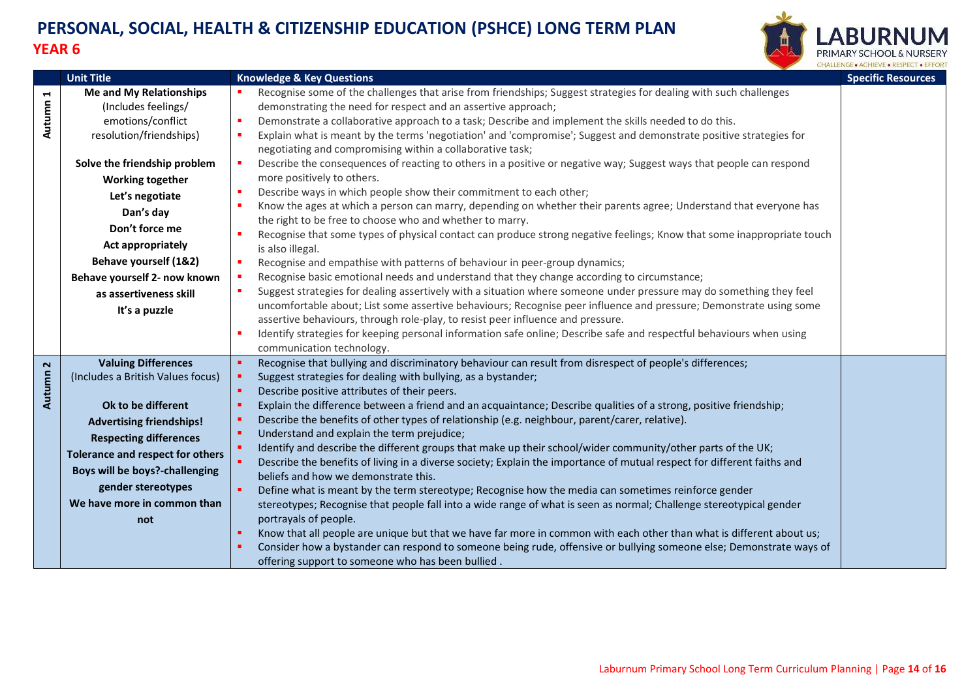

<span id="page-13-1"></span><span id="page-13-0"></span>

|                                 | <b>Unit Title</b>                                                                                                                                                                                                                                                                                  | <b>Knowledge &amp; Key Questions</b>                                                                                                                                                                                                                                                                                                                                                                                                                                                                                                                                                                                                                                                                                                                                                                                                                                                                                                                                                                                                                                                                                                                                                                                                                                                                                                                                                                                                    | <b>Specific Resources</b> |
|---------------------------------|----------------------------------------------------------------------------------------------------------------------------------------------------------------------------------------------------------------------------------------------------------------------------------------------------|-----------------------------------------------------------------------------------------------------------------------------------------------------------------------------------------------------------------------------------------------------------------------------------------------------------------------------------------------------------------------------------------------------------------------------------------------------------------------------------------------------------------------------------------------------------------------------------------------------------------------------------------------------------------------------------------------------------------------------------------------------------------------------------------------------------------------------------------------------------------------------------------------------------------------------------------------------------------------------------------------------------------------------------------------------------------------------------------------------------------------------------------------------------------------------------------------------------------------------------------------------------------------------------------------------------------------------------------------------------------------------------------------------------------------------------------|---------------------------|
| $\blacktriangleright$<br>Autumn | <b>Me and My Relationships</b><br>(Includes feelings/<br>emotions/conflict<br>resolution/friendships)                                                                                                                                                                                              | Recognise some of the challenges that arise from friendships; Suggest strategies for dealing with such challenges<br>demonstrating the need for respect and an assertive approach;<br>Demonstrate a collaborative approach to a task; Describe and implement the skills needed to do this.<br>×<br>Explain what is meant by the terms 'negotiation' and 'compromise'; Suggest and demonstrate positive strategies for<br>$\blacksquare$<br>negotiating and compromising within a collaborative task;                                                                                                                                                                                                                                                                                                                                                                                                                                                                                                                                                                                                                                                                                                                                                                                                                                                                                                                                    |                           |
|                                 | Solve the friendship problem<br><b>Working together</b><br>Let's negotiate<br>Dan's day<br>Don't force me<br><b>Act appropriately</b><br>Behave yourself (1&2)<br>Behave yourself 2- now known<br>as assertiveness skill<br>It's a puzzle                                                          | Describe the consequences of reacting to others in a positive or negative way; Suggest ways that people can respond<br>٠<br>more positively to others.<br>Describe ways in which people show their commitment to each other;<br>$\blacksquare$<br>Know the ages at which a person can marry, depending on whether their parents agree; Understand that everyone has<br>×<br>the right to be free to choose who and whether to marry.<br>Recognise that some types of physical contact can produce strong negative feelings; Know that some inappropriate touch<br>is also illegal.<br>Recognise and empathise with patterns of behaviour in peer-group dynamics;<br>×<br>Recognise basic emotional needs and understand that they change according to circumstance;<br>$\blacksquare$<br>Suggest strategies for dealing assertively with a situation where someone under pressure may do something they feel<br><b>CO</b><br>uncomfortable about; List some assertive behaviours; Recognise peer influence and pressure; Demonstrate using some<br>assertive behaviours, through role-play, to resist peer influence and pressure.<br>Identify strategies for keeping personal information safe online; Describe safe and respectful behaviours when using<br>communication technology.                                                                                                                                                 |                           |
| Autumn <sub>2</sub>             | <b>Valuing Differences</b><br>(Includes a British Values focus)<br>Ok to be different<br><b>Advertising friendships!</b><br><b>Respecting differences</b><br><b>Tolerance and respect for others</b><br>Boys will be boys?-challenging<br>gender stereotypes<br>We have more in common than<br>not | Recognise that bullying and discriminatory behaviour can result from disrespect of people's differences;<br>٠<br>Suggest strategies for dealing with bullying, as a bystander;<br>л<br>Describe positive attributes of their peers.<br>$\blacksquare$<br>Explain the difference between a friend and an acquaintance; Describe qualities of a strong, positive friendship;<br>л<br>Describe the benefits of other types of relationship (e.g. neighbour, parent/carer, relative).<br>×<br>٠<br>Understand and explain the term prejudice;<br>$\bullet$<br>Identify and describe the different groups that make up their school/wider community/other parts of the UK;<br>$\bullet$<br>Describe the benefits of living in a diverse society; Explain the importance of mutual respect for different faiths and<br>beliefs and how we demonstrate this.<br>$\blacksquare$<br>Define what is meant by the term stereotype; Recognise how the media can sometimes reinforce gender<br>stereotypes; Recognise that people fall into a wide range of what is seen as normal; Challenge stereotypical gender<br>portrayals of people.<br>Know that all people are unique but that we have far more in common with each other than what is different about us;<br>٠<br>Consider how a bystander can respond to someone being rude, offensive or bullying someone else; Demonstrate ways of<br>offering support to someone who has been bullied. |                           |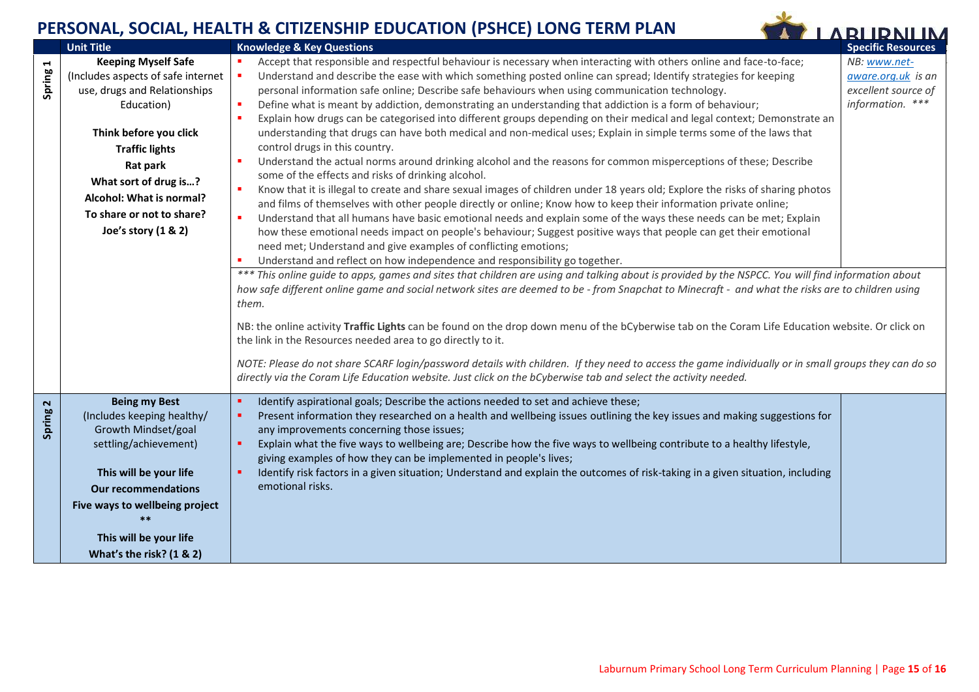

<span id="page-14-1"></span><span id="page-14-0"></span>

|                                 | <b>Unit Title</b>                  | <b>Knowledge &amp; Key Questions</b>                                                                                                                      | <b>Specific Resources</b> |
|---------------------------------|------------------------------------|-----------------------------------------------------------------------------------------------------------------------------------------------------------|---------------------------|
| $\blacktriangleright$<br>Spring | <b>Keeping Myself Safe</b>         | Accept that responsible and respectful behaviour is necessary when interacting with others online and face-to-face;                                       | NB: www.net-              |
|                                 | (Includes aspects of safe internet | Understand and describe the ease with which something posted online can spread; Identify strategies for keeping<br>п                                      | aware.org.uk is an        |
|                                 | use, drugs and Relationships       | personal information safe online; Describe safe behaviours when using communication technology.                                                           | excellent source of       |
|                                 | Education)                         | Define what is meant by addiction, demonstrating an understanding that addiction is a form of behaviour;<br>٠                                             | information. ***          |
|                                 |                                    | Explain how drugs can be categorised into different groups depending on their medical and legal context; Demonstrate an<br>×                              |                           |
|                                 | Think before you click             | understanding that drugs can have both medical and non-medical uses; Explain in simple terms some of the laws that                                        |                           |
|                                 | <b>Traffic lights</b>              | control drugs in this country.                                                                                                                            |                           |
|                                 | Rat park                           | Understand the actual norms around drinking alcohol and the reasons for common misperceptions of these; Describe<br>٠                                     |                           |
|                                 | What sort of drug is?              | some of the effects and risks of drinking alcohol.                                                                                                        |                           |
|                                 | Alcohol: What is normal?           | Know that it is illegal to create and share sexual images of children under 18 years old; Explore the risks of sharing photos<br>٠                        |                           |
|                                 | To share or not to share?          | and films of themselves with other people directly or online; Know how to keep their information private online;                                          |                           |
|                                 |                                    | Understand that all humans have basic emotional needs and explain some of the ways these needs can be met; Explain<br>$\blacksquare$                      |                           |
|                                 | Joe's story (1 & 2)                | how these emotional needs impact on people's behaviour; Suggest positive ways that people can get their emotional                                         |                           |
|                                 |                                    | need met; Understand and give examples of conflicting emotions;                                                                                           |                           |
|                                 |                                    | Understand and reflect on how independence and responsibility go together.<br>п                                                                           |                           |
|                                 |                                    | *** This online guide to apps, games and sites that children are using and talking about is provided by the NSPCC. You will find information about        |                           |
|                                 |                                    | how safe different online game and social network sites are deemed to be - from Snapchat to Minecraft - and what the risks are to children using<br>them. |                           |
|                                 |                                    |                                                                                                                                                           |                           |
|                                 |                                    | NB: the online activity Traffic Lights can be found on the drop down menu of the bCyberwise tab on the Coram Life Education website. Or click on          |                           |
|                                 |                                    | the link in the Resources needed area to go directly to it.                                                                                               |                           |
|                                 |                                    |                                                                                                                                                           |                           |
|                                 |                                    | NOTE: Please do not share SCARF login/password details with children. If they need to access the game individually or in small groups they can do so      |                           |
|                                 |                                    | directly via the Coram Life Education website. Just click on the bCyberwise tab and select the activity needed.                                           |                           |
| $\mathbf{z}$                    | <b>Being my Best</b>               | Identify aspirational goals; Describe the actions needed to set and achieve these;<br>٠                                                                   |                           |
| Spring                          | (Includes keeping healthy/         | Present information they researched on a health and wellbeing issues outlining the key issues and making suggestions for<br>٠                             |                           |
|                                 | Growth Mindset/goal                | any improvements concerning those issues;                                                                                                                 |                           |
|                                 | settling/achievement)              | Explain what the five ways to wellbeing are; Describe how the five ways to wellbeing contribute to a healthy lifestyle,<br>٠                              |                           |
|                                 |                                    | giving examples of how they can be implemented in people's lives;                                                                                         |                           |
|                                 | This will be your life             | Identify risk factors in a given situation; Understand and explain the outcomes of risk-taking in a given situation, including<br>٠                       |                           |
|                                 | <b>Our recommendations</b>         | emotional risks.                                                                                                                                          |                           |
|                                 | Five ways to wellbeing project     |                                                                                                                                                           |                           |
|                                 | $***$                              |                                                                                                                                                           |                           |
|                                 | This will be your life             |                                                                                                                                                           |                           |
|                                 | What's the risk? (1 & 2)           |                                                                                                                                                           |                           |
|                                 |                                    |                                                                                                                                                           |                           |